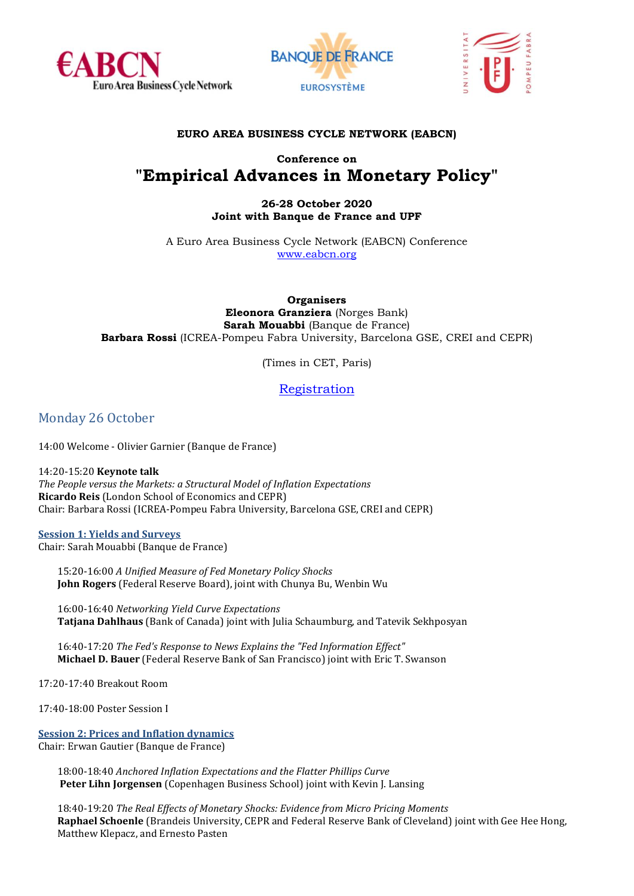





## **EURO AREA BUSINESS CYCLE NETWORK (EABCN)**

# **Conference on "Empirical Advances in Monetary Policy"**

## **26-28 October 2020 Joint with Banque de France and UPF**

A Euro Area Business Cycle Network (EABCN) Conference [www.eabcn.org](http://www.eabcn.org/)

**Organisers Eleonora Granziera** (Norges Bank) **Sarah Mouabbi** (Banque de France) **Barbara Rossi** (ICREA-Pompeu Fabra University, Barcelona GSE, CREI and CEPR)

(Times in CET, Paris)

[Registration](https://us02web.zoom.us/meeting/register/tZcrdu2orDMrHd2Z1Bsg7sOLBYVDzPYYRA-_)

Monday 26 October

14:00 Welcome - Olivier Garnier (Banque de France)

14:20-15:20 **Keynote talk** *The People versus the Markets: a Structural Model of Inflation Expectations* **Ricardo Reis** (London School of Economics and CEPR) Chair: Barbara Rossi (ICREA-Pompeu Fabra University, Barcelona GSE, CREI and CEPR)

**Session 1: Yields and Surveys** Chair: Sarah Mouabbi (Banque de France)

15:20-16:00 *A Unified Measure of Fed Monetary Policy Shocks* **John Rogers** (Federal Reserve Board), joint with Chunya Bu, Wenbin Wu

16:00-16:40 *Networking Yield Curve Expectations* **Tatjana Dahlhaus** (Bank of Canada) joint with Julia Schaumburg, and Tatevik Sekhposyan

16:40-17:20 *The Fed's Response to News Explains the "Fed Information Effect"* **Michael D. Bauer** (Federal Reserve Bank of San Francisco) joint with Eric T. Swanson

17:20-17:40 Breakout Room

17:40-18:00 Poster Session I

**Session 2: Prices and Inflation dynamics**

Chair: Erwan Gautier (Banque de France)

18:00-18:40 *Anchored Inflation Expectations and the Flatter Phillips Curve* **Peter Lihn Jorgensen** (Copenhagen Business School) joint with Kevin J. Lansing

18:40-19:20 *The Real Effects of Monetary Shocks: Evidence from Micro Pricing Moments* **Raphael Schoenle** (Brandeis University, CEPR and Federal Reserve Bank of Cleveland) joint with Gee Hee Hong, Matthew Klepacz, and Ernesto Pasten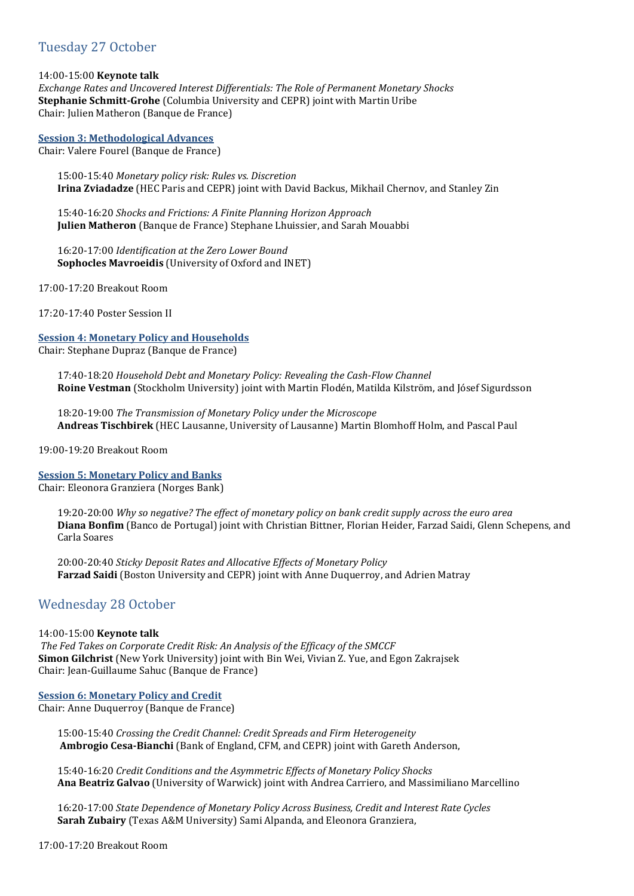# Tuesday 27 October

14:00-15:00 **Keynote talk**

*Exchange Rates and Uncovered Interest Differentials: The Role of Permanent Monetary Shocks* **Stephanie Schmitt-Grohe** (Columbia University and CEPR) joint with Martin Uribe Chair: Julien Matheron (Banque de France)

**Session 3: Methodological Advances**

Chair: Valere Fourel (Banque de France)

15:00-15:40 *Monetary policy risk: Rules vs. Discretion* **Irina Zviadadze** (HEC Paris and CEPR) joint with David Backus, Mikhail Chernov, and Stanley Zin

15:40-16:20 *Shocks and Frictions: A Finite Planning Horizon Approach* **Julien Matheron** (Banque de France) Stephane Lhuissier, and Sarah Mouabbi

16:20-17:00 *Identification at the Zero Lower Bound* **Sophocles Mavroeidis** (University of Oxford and INET)

17:00-17:20 Breakout Room

17:20-17:40 Poster Session II

#### **Session 4: Monetary Policy and Households**

Chair: Stephane Dupraz (Banque de France)

17:40-18:20 *Household Debt and Monetary Policy: Revealing the Cash-Flow Channel* **Roine Vestman** (Stockholm University) joint with Martin Flodén, Matilda Kilström, and Jósef Sigurdsson

18:20-19:00 *The Transmission of Monetary Policy under the Microscope* **Andreas Tischbirek** (HEC Lausanne, University of Lausanne) Martin Blomhoff Holm, and Pascal Paul

19:00-19:20 Breakout Room

**Session 5: Monetary Policy and Banks** Chair: Eleonora Granziera (Norges Bank)

19:20-20:00 *Why so negative? The effect of monetary policy on bank credit supply across the euro area* **Diana Bonfim** (Banco de Portugal) joint with Christian Bittner, Florian Heider, Farzad Saidi, Glenn Schepens, and Carla Soares

20:00-20:40 *Sticky Deposit Rates and Allocative Effects of Monetary Policy* **Farzad Saidi** (Boston University and CEPR) joint with Anne Duquerroy, and Adrien Matray

## Wednesday 28 October

#### 14:00-15:00 **Keynote talk**

*The Fed Takes on Corporate Credit Risk: An Analysis of the Efficacy of the SMCCF* **Simon Gilchrist** (New York University) joint with Bin Wei, Vivian Z. Yue, and Egon Zakrajsek Chair: Jean-Guillaume Sahuc (Banque de France)

#### **Session 6: Monetary Policy and Credit**

Chair: Anne Duquerroy (Banque de France)

15:00-15:40 *Crossing the Credit Channel: Credit Spreads and Firm Heterogeneity* **Ambrogio Cesa-Bianchi** (Bank of England, CFM, and CEPR) joint with Gareth Anderson,

15:40-16:20 *Credit Conditions and the Asymmetric Effects of Monetary Policy Shocks* **Ana Beatriz Galvao** (University of Warwick) joint with Andrea Carriero, and Massimiliano Marcellino

16:20-17:00 *State Dependence of Monetary Policy Across Business, Credit and Interest Rate Cycles* **Sarah Zubairy** (Texas A&M University) Sami Alpanda, and Eleonora Granziera,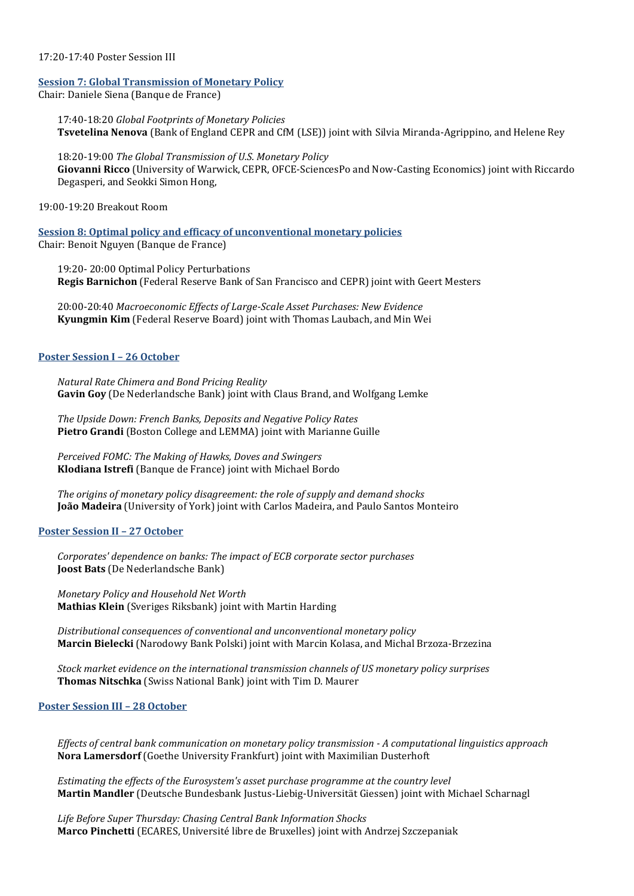#### 17:20-17:40 Poster Session III

#### **Session 7: Global Transmission of Monetary Policy**

Chair: Daniele Siena (Banque de France)

17:40-18:20 *Global Footprints of Monetary Policies* **Tsvetelina Nenova** (Bank of England CEPR and CfM (LSE)) joint with Silvia Miranda-Agrippino, and Helene Rey

18:20-19:00 *The Global Transmission of U.S. Monetary Policy* **Giovanni Ricco** (University of Warwick, CEPR, OFCE-SciencesPo and Now-Casting Economics) joint with Riccardo Degasperi, and Seokki Simon Hong,

19:00-19:20 Breakout Room

**Session 8: Optimal policy and efficacy of unconventional monetary policies** Chair: Benoit Nguyen (Banque de France)

19:20- 20:00 Optimal Policy Perturbations **Regis Barnichon** (Federal Reserve Bank of San Francisco and CEPR) joint with Geert Mesters

20:00-20:40 *Macroeconomic Effects of Large-Scale Asset Purchases: New Evidence* **Kyungmin Kim** (Federal Reserve Board) joint with Thomas Laubach, and Min Wei

#### **Poster Session I – 26 October**

*Natural Rate Chimera and Bond Pricing Reality* **Gavin Goy** (De Nederlandsche Bank) joint with Claus Brand, and Wolfgang Lemke

*The Upside Down: French Banks, Deposits and Negative Policy Rates* **Pietro Grandi** (Boston College and LEMMA) joint with Marianne Guille

*Perceived FOMC: The Making of Hawks, Doves and Swingers* **Klodiana Istrefi** (Banque de France) joint with Michael Bordo

*The origins of monetary policy disagreement: the role of supply and demand shocks* **João Madeira** (University of York) joint with Carlos Madeira, and Paulo Santos Monteiro

#### **Poster Session II – 27 October**

*Corporates' dependence on banks: The impact of ECB corporate sector purchases* **Joost Bats** (De Nederlandsche Bank)

*Monetary Policy and Household Net Worth* **Mathias Klein** (Sveriges Riksbank) joint with Martin Harding

*Distributional consequences of conventional and unconventional monetary policy* **Marcin Bielecki** (Narodowy Bank Polski) joint with Marcin Kolasa, and Michal Brzoza-Brzezina

*Stock market evidence on the international transmission channels of US monetary policy surprises* **Thomas Nitschka** (Swiss National Bank) joint with Tim D. Maurer

### **Poster Session III – 28 October**

*Effects of central bank communication on monetary policy transmission - A computational linguistics approach* **Nora Lamersdorf** (Goethe University Frankfurt) joint with Maximilian Dusterhoft

*Estimating the effects of the Eurosystem's asset purchase programme at the country level* **Martin Mandler** (Deutsche Bundesbank Justus-Liebig-Universität Giessen) joint with Michael Scharnagl

*Life Before Super Thursday: Chasing Central Bank Information Shocks* **Marco Pinchetti** (ECARES, Université libre de Bruxelles) joint with Andrzej Szczepaniak